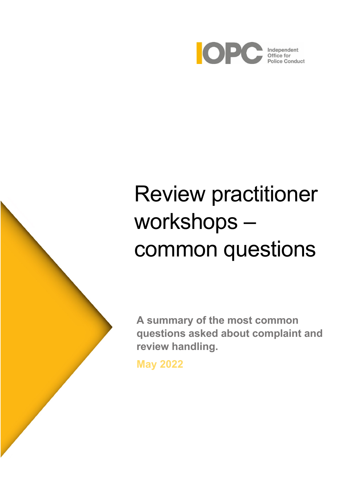

# Review practitioner workshops – common questions

**A summary of the most common questions asked about complaint and review handling.**

**May 2022**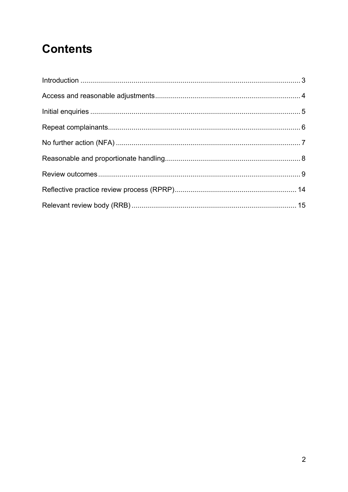# **Contents**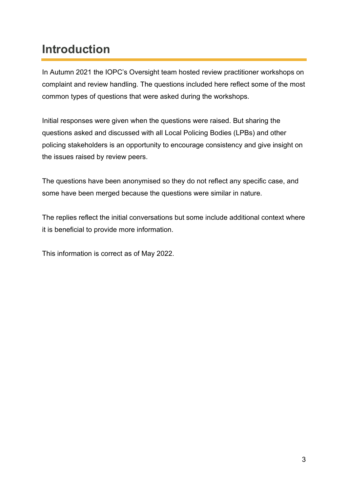# <span id="page-2-0"></span>**Introduction**

In Autumn 2021 the IOPC's Oversight team hosted review practitioner workshops on complaint and review handling. The questions included here reflect some of the most common types of questions that were asked during the workshops.

Initial responses were given when the questions were raised. But sharing the questions asked and discussed with all Local Policing Bodies (LPBs) and other policing stakeholders is an opportunity to encourage consistency and give insight on the issues raised by review peers.

The questions have been anonymised so they do not reflect any specific case, and some have been merged because the questions were similar in nature.

The replies reflect the initial conversations but some include additional context where it is beneficial to provide more information.

This information is correct as of May 2022.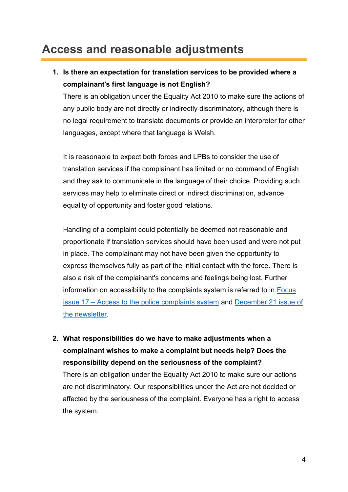# <span id="page-3-0"></span>**Access and reasonable adjustments**

## **1. Is there an expectation for translation services to be provided where a complainant's first language is not English?**

There is an obligation under the Equality Act 2010 to make sure the actions of any public body are not directly or indirectly discriminatory, although there is no legal requirement to translate documents or provide an interpreter for other languages, except where that language is Welsh.

It is reasonable to expect both forces and LPBs to consider the use of translation services if the complainant has limited or no command of English and they ask to communicate in the language of their choice. Providing such services may help to eliminate direct or indirect discrimination, advance equality of opportunity and foster good relations.

Handling of a complaint could potentially be deemed not reasonable and proportionate if translation services should have been used and were not put in place. The complainant may not have been given the opportunity to express themselves fully as part of the initial contact with the force. There is also a risk of the complainant's concerns and feelings being lost. Further information on accessibility to the complaints system is referred to in **Focus** issue 17 – [Access to the police complaints system](https://www.policeconduct.gov.uk/sites/default/files/Documents/Focus/Focus_17_February2020.pdf) and [December 21 issue of](https://www.policeconduct.gov.uk/sites/default/files/Documents/OversightBulletin/Oversight_Newsletter_December2021.pdf)  [the newsletter.](https://www.policeconduct.gov.uk/sites/default/files/Documents/OversightBulletin/Oversight_Newsletter_December2021.pdf)

**2. What responsibilities do we have to make adjustments when a complainant wishes to make a complaint but needs help? Does the responsibility depend on the seriousness of the complaint?**

There is an obligation under the Equality Act 2010 to make sure our actions are not discriminatory. Our responsibilities under the Act are not decided or affected by the seriousness of the complaint. Everyone has a right to access the system.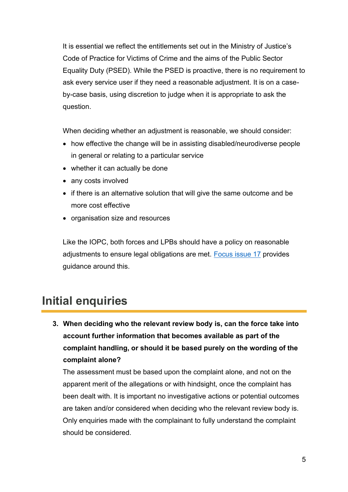It is essential we reflect the entitlements set out in the Ministry of Justice's Code of Practice for Victims of Crime and the aims of the Public Sector Equality Duty (PSED). While the PSED is proactive, there is no requirement to ask every service user if they need a reasonable adjustment. It is on a caseby-case basis, using discretion to judge when it is appropriate to ask the question.

When deciding whether an adjustment is reasonable, we should consider:   

- how effective the change will be in assisting disabled/neurodiverse people in general or relating to a particular service
- whether it can actually be done
- any costs involved
- if there is an alternative solution that will give the same outcome and be more cost effective
- organisation size and resources

Like the IOPC, both forces and LPBs should have a policy on reasonable adjustments to ensure legal obligations are met. [Focus issue 17](https://www.policeconduct.gov.uk/sites/default/files/Documents/Focus/Focus_17_February2020.pdf) provides guidance around this.

# <span id="page-4-0"></span>**Initial enquiries**

**3. When deciding who the relevant review body is, can the force take into account further information that becomes available as part of the complaint handling, or should it be based purely on the wording of the complaint alone?**

The assessment must be based upon the complaint alone, and not on the apparent merit of the allegations or with hindsight, once the complaint has been dealt with. It is important no investigative actions or potential outcomes are taken and/or considered when deciding who the relevant review body is. Only enquiries made with the complainant to fully understand the complaint should be considered.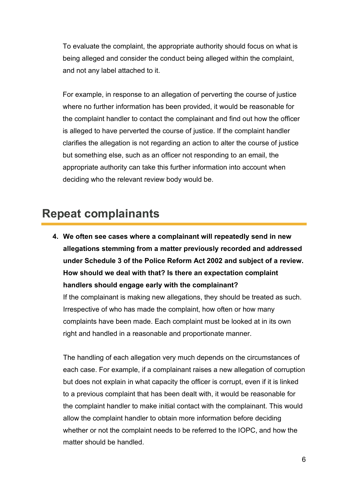To evaluate the complaint, the appropriate authority should focus on what is being alleged and consider the conduct being alleged within the complaint, and not any label attached to it.

For example, in response to an allegation of perverting the course of justice where no further information has been provided, it would be reasonable for the complaint handler to contact the complainant and find out how the officer is alleged to have perverted the course of justice. If the complaint handler clarifies the allegation is not regarding an action to alter the course of justice but something else, such as an officer not responding to an email, the appropriate authority can take this further information into account when deciding who the relevant review body would be.

## <span id="page-5-0"></span>**Repeat complainants**

**4. We often see cases where a complainant will repeatedly send in new allegations stemming from a matter previously recorded and addressed under Schedule 3 of the Police Reform Act 2002 and subject of a review. How should we deal with that? Is there an expectation complaint handlers should engage early with the complainant?**

If the complainant is making new allegations, they should be treated as such. Irrespective of who has made the complaint, how often or how many complaints have been made. Each complaint must be looked at in its own right and handled in a reasonable and proportionate manner.

The handling of each allegation very much depends on the circumstances of each case. For example, if a complainant raises a new allegation of corruption but does not explain in what capacity the officer is corrupt, even if it is linked to a previous complaint that has been dealt with, it would be reasonable for the complaint handler to make initial contact with the complainant. This would allow the complaint handler to obtain more information before deciding whether or not the complaint needs to be referred to the IOPC, and how the matter should be handled.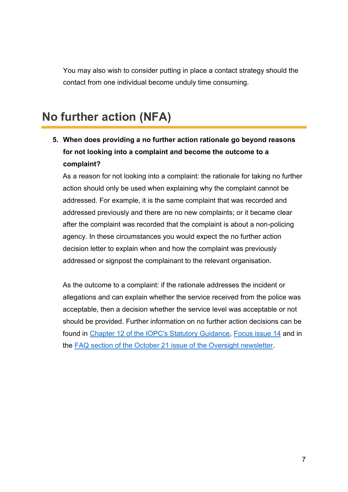You may also wish to consider putting in place a contact strategy should the contact from one individual become unduly time consuming.

## <span id="page-6-0"></span>**No further action (NFA)**

## **5. When does providing a no further action rationale go beyond reasons for not looking into a complaint and become the outcome to a complaint?**

As a reason for not looking into a complaint: the rationale for taking no further action should only be used when explaining why the complaint cannot be addressed. For example, it is the same complaint that was recorded and addressed previously and there are no new complaints; or it became clear after the complaint was recorded that the complaint is about a non-policing agency. In these circumstances you would expect the no further action decision letter to explain when and how the complaint was previously addressed or signpost the complainant to the relevant organisation.

As the outcome to a complaint: if the rationale addresses the incident or allegations and can explain whether the service received from the police was acceptable, then a decision whether the service level was acceptable or not should be provided. Further information on no further action decisions can be found in [Chapter 12 of the IOPC's Statutory Guidance,](https://www.policeconduct.gov.uk/sites/default/files/Documents/statutoryguidance/2020_statutory_guidance_english.pdf) Focus [issue 14](https://www.policeconduct.gov.uk/sites/default/files/Documents/Focus/Focus_14_January2021.pdf) and in the [FAQ section of the October 21 issue of the Oversight newsletter.](https://www.policeconduct.gov.uk/sites/default/files/Documents/OversightBulletin/Oversight_Newsletter_October2021.pdf)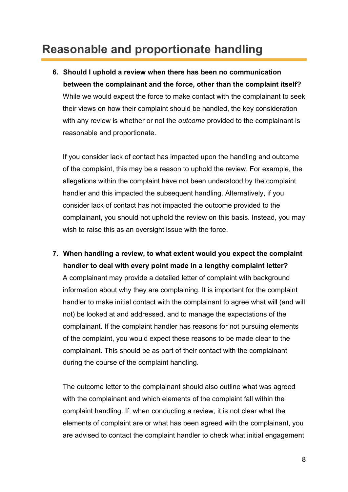# <span id="page-7-0"></span>**Reasonable and proportionate handling**

**6. Should I uphold a review when there has been no communication between the complainant and the force, other than the complaint itself?** While we would expect the force to make contact with the complainant to seek their views on how their complaint should be handled, the key consideration with any review is whether or not the *outcome* provided to the complainant is reasonable and proportionate.

If you consider lack of contact has impacted upon the handling and outcome of the complaint, this may be a reason to uphold the review. For example, the allegations within the complaint have not been understood by the complaint handler and this impacted the subsequent handling. Alternatively, if you consider lack of contact has not impacted the outcome provided to the complainant, you should not uphold the review on this basis. Instead, you may wish to raise this as an oversight issue with the force.

**7. When handling a review, to what extent would you expect the complaint handler to deal with every point made in a lengthy complaint letter?** A complainant may provide a detailed letter of complaint with background information about why they are complaining. It is important for the complaint handler to make initial contact with the complainant to agree what will (and will not) be looked at and addressed, and to manage the expectations of the complainant. If the complaint handler has reasons for not pursuing elements of the complaint, you would expect these reasons to be made clear to the complainant. This should be as part of their contact with the complainant during the course of the complaint handling.

The outcome letter to the complainant should also outline what was agreed with the complainant and which elements of the complaint fall within the complaint handling. If, when conducting a review, it is not clear what the elements of complaint are or what has been agreed with the complainant, you are advised to contact the complaint handler to check what initial engagement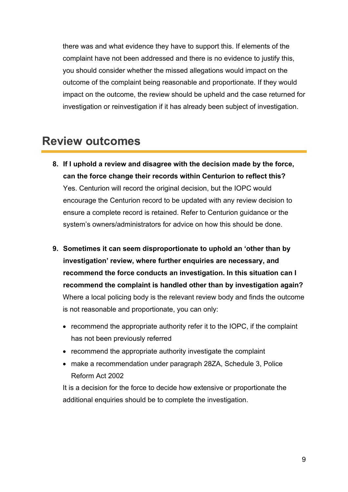there was and what evidence they have to support this. If elements of the complaint have not been addressed and there is no evidence to justify this, you should consider whether the missed allegations would impact on the outcome of the complaint being reasonable and proportionate. If they would impact on the outcome, the review should be upheld and the case returned for investigation or reinvestigation if it has already been subject of investigation.

## <span id="page-8-0"></span>**Review outcomes**

- **8. If I uphold a review and disagree with the decision made by the force, can the force change their records within Centurion to reflect this?** Yes. Centurion will record the original decision, but the IOPC would encourage the Centurion record to be updated with any review decision to ensure a complete record is retained. Refer to Centurion guidance or the system's owners/administrators for advice on how this should be done.
- **9. Sometimes it can seem disproportionate to uphold an 'other than by investigation' review, where further enquiries are necessary, and recommend the force conducts an investigation. In this situation can I recommend the complaint is handled other than by investigation again?**  Where a local policing body is the relevant review body and finds the outcome is not reasonable and proportionate, you can only:
	- recommend the appropriate authority refer it to the IOPC, if the complaint has not been previously referred
	- recommend the appropriate authority investigate the complaint
	- make a recommendation under paragraph 28ZA, Schedule 3, Police Reform Act 2002

It is a decision for the force to decide how extensive or proportionate the additional enquiries should be to complete the investigation.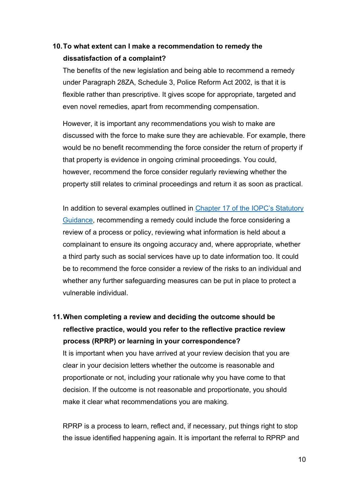#### **10.To what extent can I make a recommendation to remedy the dissatisfaction of a complaint?**

The benefits of the new legislation and being able to recommend a remedy under Paragraph 28ZA, Schedule 3, Police Reform Act 2002, is that it is flexible rather than prescriptive. It gives scope for appropriate, targeted and even novel remedies, apart from recommending compensation.

However, it is important any recommendations you wish to make are discussed with the force to make sure they are achievable. For example, there would be no benefit recommending the force consider the return of property if that property is evidence in ongoing criminal proceedings. You could, however, recommend the force consider regularly reviewing whether the property still relates to criminal proceedings and return it as soon as practical.

In addition to several examples outlined in Chapter 17 of the IOPC's Statutory [Guidance,](https://www.policeconduct.gov.uk/sites/default/files/Documents/statutoryguidance/2020_statutory_guidance_english.pdf) recommending a remedy could include the force considering a review of a process or policy, reviewing what information is held about a complainant to ensure its ongoing accuracy and, where appropriate, whether a third party such as social services have up to date information too. It could be to recommend the force consider a review of the risks to an individual and whether any further safeguarding measures can be put in place to protect a vulnerable individual.

**11.When completing a review and deciding the outcome should be reflective practice, would you refer to the reflective practice review process (RPRP) or learning in your correspondence?** It is important when you have arrived at your review decision that you are clear in your decision letters whether the outcome is reasonable and proportionate or not, including your rationale why you have come to that decision. If the outcome is not reasonable and proportionate, you should make it clear what recommendations you are making.

RPRP is a process to learn, reflect and, if necessary, put things right to stop the issue identified happening again. It is important the referral to RPRP and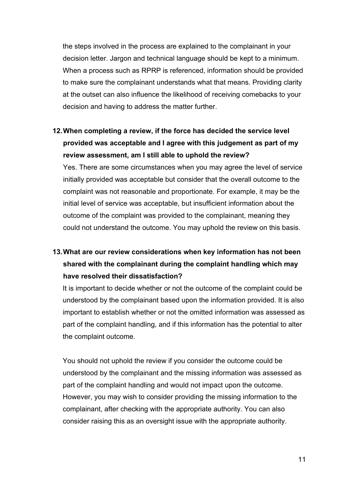the steps involved in the process are explained to the complainant in your decision letter. Jargon and technical language should be kept to a minimum. When a process such as RPRP is referenced, information should be provided to make sure the complainant understands what that means. Providing clarity at the outset can also influence the likelihood of receiving comebacks to your decision and having to address the matter further.

### **12.When completing a review, if the force has decided the service level provided was acceptable and I agree with this judgement as part of my review assessment, am I still able to uphold the review?**

Yes. There are some circumstances when you may agree the level of service initially provided was acceptable but consider that the overall outcome to the complaint was not reasonable and proportionate. For example, it may be the initial level of service was acceptable, but insufficient information about the outcome of the complaint was provided to the complainant, meaning they could not understand the outcome. You may uphold the review on this basis.

## **13.What are our review considerations when key information has not been shared with the complainant during the complaint handling which may have resolved their dissatisfaction?**

It is important to decide whether or not the outcome of the complaint could be understood by the complainant based upon the information provided. It is also important to establish whether or not the omitted information was assessed as part of the complaint handling, and if this information has the potential to alter the complaint outcome.

You should not uphold the review if you consider the outcome could be understood by the complainant and the missing information was assessed as part of the complaint handling and would not impact upon the outcome. However, you may wish to consider providing the missing information to the complainant, after checking with the appropriate authority. You can also consider raising this as an oversight issue with the appropriate authority.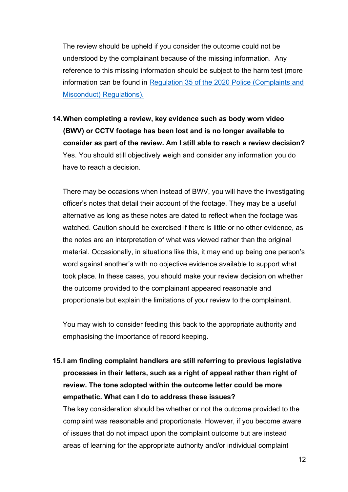The review should be upheld if you consider the outcome could not be understood by the complainant because of the missing information. Any reference to this missing information should be subject to the harm test (more information can be found in Regulation 35 of the 2020 [Police \(Complaints and](https://www.legislation.gov.uk/uksi/2020/2/regulation/35/made)  [Misconduct\) Regulations\).](https://www.legislation.gov.uk/uksi/2020/2/regulation/35/made)

**14.When completing a review, key evidence such as body worn video (BWV) or CCTV footage has been lost and is no longer available to consider as part of the review. Am I still able to reach a review decision?** Yes. You should still objectively weigh and consider any information you do have to reach a decision.

There may be occasions when instead of BWV, you will have the investigating officer's notes that detail their account of the footage. They may be a useful alternative as long as these notes are dated to reflect when the footage was watched. Caution should be exercised if there is little or no other evidence, as the notes are an interpretation of what was viewed rather than the original material. Occasionally, in situations like this, it may end up being one person's word against another's with no objective evidence available to support what took place. In these cases, you should make your review decision on whether the outcome provided to the complainant appeared reasonable and proportionate but explain the limitations of your review to the complainant.

You may wish to consider feeding this back to the appropriate authority and emphasising the importance of record keeping.

**15.I am finding complaint handlers are still referring to previous legislative processes in their letters, such as a right of appeal rather than right of review. The tone adopted within the outcome letter could be more empathetic. What can I do to address these issues?**

The key consideration should be whether or not the outcome provided to the complaint was reasonable and proportionate. However, if you become aware of issues that do not impact upon the complaint outcome but are instead areas of learning for the appropriate authority and/or individual complaint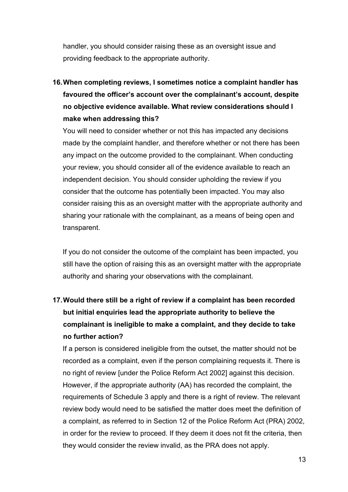handler, you should consider raising these as an oversight issue and providing feedback to the appropriate authority.

## **16.When completing reviews, I sometimes notice a complaint handler has favoured the officer's account over the complainant's account, despite no objective evidence available. What review considerations should I make when addressing this?**

You will need to consider whether or not this has impacted any decisions made by the complaint handler, and therefore whether or not there has been any impact on the outcome provided to the complainant. When conducting your review, you should consider all of the evidence available to reach an independent decision. You should consider upholding the review if you consider that the outcome has potentially been impacted. You may also consider raising this as an oversight matter with the appropriate authority and sharing your rationale with the complainant, as a means of being open and transparent.

If you do not consider the outcome of the complaint has been impacted, you still have the option of raising this as an oversight matter with the appropriate authority and sharing your observations with the complainant.

## **17.Would there still be a right of review if a complaint has been recorded but initial enquiries lead the appropriate authority to believe the complainant is ineligible to make a complaint, and they decide to take no further action?**

If a person is considered ineligible from the outset, the matter should not be recorded as a complaint, even if the person complaining requests it. There is no right of review [under the Police Reform Act 2002] against this decision. However, if the appropriate authority (AA) has recorded the complaint, the requirements of Schedule 3 apply and there is a right of review. The relevant review body would need to be satisfied the matter does meet the definition of a complaint, as referred to in Section 12 of the Police Reform Act (PRA) 2002, in order for the review to proceed. If they deem it does not fit the criteria, then they would consider the review invalid, as the PRA does not apply.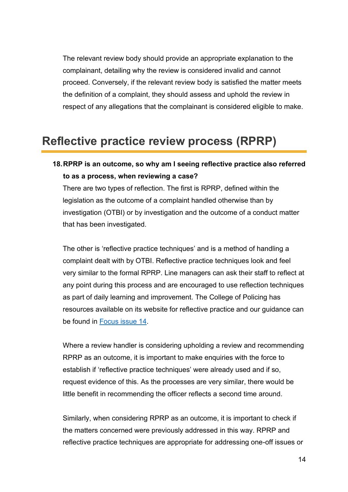The relevant review body should provide an appropriate explanation to the complainant, detailing why the review is considered invalid and cannot proceed. Conversely, if the relevant review body is satisfied the matter meets the definition of a complaint, they should assess and uphold the review in respect of any allegations that the complainant is considered eligible to make.

## <span id="page-13-0"></span>**Reflective practice review process (RPRP)**

#### **18.RPRP is an outcome, so why am I seeing reflective practice also referred to as a process, when reviewing a case?**

There are two types of reflection. The first is RPRP, defined within the legislation as the outcome of a complaint handled otherwise than by investigation (OTBI) or by investigation and the outcome of a conduct matter that has been investigated.

The other is 'reflective practice techniques' and is a method of handling a complaint dealt with by OTBI. Reflective practice techniques look and feel very similar to the formal RPRP. Line managers can ask their staff to reflect at any point during this process and are encouraged to use reflection techniques as part of daily learning and improvement. The College of Policing has resources available on its website for reflective practice and our guidance can be found in [Focus issue 14.](https://www.policeconduct.gov.uk/sites/default/files/Documents/Focus/Focus_14_January2021.pdf)

Where a review handler is considering upholding a review and recommending RPRP as an outcome, it is important to make enquiries with the force to establish if 'reflective practice techniques' were already used and if so, request evidence of this. As the processes are very similar, there would be little benefit in recommending the officer reflects a second time around.

Similarly, when considering RPRP as an outcome, it is important to check if the matters concerned were previously addressed in this way. RPRP and reflective practice techniques are appropriate for addressing one-off issues or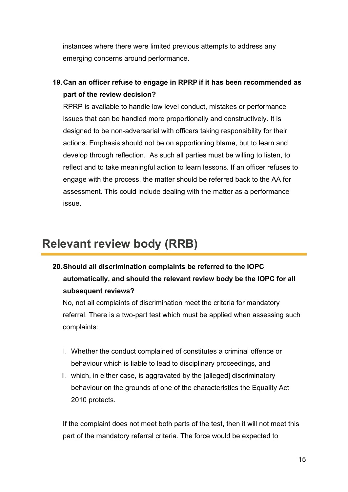instances where there were limited previous attempts to address any emerging concerns around performance.

**19.Can an officer refuse to engage in RPRP if it has been recommended as part of the review decision?** 

RPRP is available to handle low level conduct, mistakes or performance issues that can be handled more proportionally and constructively. It is designed to be non-adversarial with officers taking responsibility for their actions. Emphasis should not be on apportioning blame, but to learn and develop through reflection. As such all parties must be willing to listen, to reflect and to take meaningful action to learn lessons. If an officer refuses to engage with the process, the matter should be referred back to the AA for assessment. This could include dealing with the matter as a performance issue.

# <span id="page-14-0"></span>**Relevant review body (RRB)**

**20.Should all discrimination complaints be referred to the IOPC automatically, and should the relevant review body be the IOPC for all subsequent reviews?**

No, not all complaints of discrimination meet the criteria for mandatory referral. There is a two-part test which must be applied when assessing such complaints:

- I. Whether the conduct complained of constitutes a criminal offence or behaviour which is liable to lead to disciplinary proceedings, and
- II. which, in either case, is aggravated by the [alleged] discriminatory behaviour on the grounds of one of the characteristics the Equality Act 2010 protects.

If the complaint does not meet both parts of the test, then it will not meet this part of the mandatory referral criteria. The force would be expected to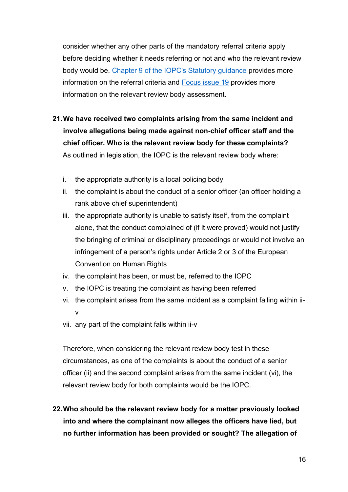consider whether any other parts of the mandatory referral criteria apply before deciding whether it needs referring or not and who the relevant review body would be. [Chapter 9 of the IOPC's Statutory guidance](https://www.policeconduct.gov.uk/sites/default/files/Documents/statutoryguidance/2020_statutory_guidance_english.pdf) provides more information on the referral criteria and [Focus issue 19](https://www.policeconduct.gov.uk/sites/default/files/Documents/Focus/Focus_19_January2021.pdf) provides more information on the relevant review body assessment.

- **21.We have received two complaints arising from the same incident and involve allegations being made against non-chief officer staff and the chief officer. Who is the relevant review body for these complaints?**  As outlined in legislation, the IOPC is the relevant review body where:
	- i. the appropriate authority is a local policing body
	- ii. the complaint is about the conduct of a senior officer (an officer holding a rank above chief superintendent)
	- iii. the appropriate authority is unable to satisfy itself, from the complaint alone, that the conduct complained of (if it were proved) would not justify the bringing of criminal or disciplinary proceedings or would not involve an infringement of a person's rights under Article 2 or 3 of the European Convention on Human Rights
	- iv. the complaint has been, or must be, referred to the IOPC
	- v. the IOPC is treating the complaint as having been referred
	- vi. the complaint arises from the same incident as a complaint falling within iiv
	- vii. any part of the complaint falls within ii-v

Therefore, when considering the relevant review body test in these circumstances, as one of the complaints is about the conduct of a senior officer (ii) and the second complaint arises from the same incident (vi), the relevant review body for both complaints would be the IOPC.

**22.Who should be the relevant review body for a matter previously looked into and where the complainant now alleges the officers have lied, but no further information has been provided or sought? The allegation of**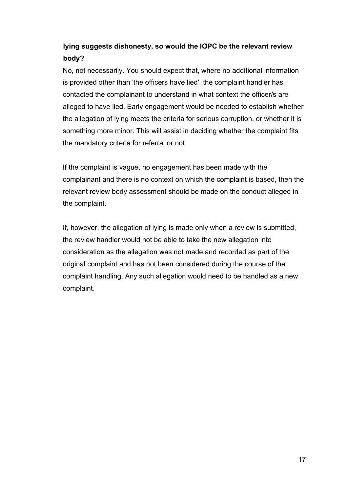#### **lying suggests dishonesty, so would the IOPC be the relevant review body?**

No, not necessarily. You should expect that, where no additional information is provided other than 'the officers have lied', the complaint handler has contacted the complainant to understand in what context the officer/s are alleged to have lied. Early engagement would be needed to establish whether the allegation of lying meets the criteria for serious corruption, or whether it is something more minor. This will assist in deciding whether the complaint fits the mandatory criteria for referral or not.

If the complaint is vague, no engagement has been made with the complainant and there is no context on which the complaint is based, then the relevant review body assessment should be made on the conduct alleged in the complaint.

If, however, the allegation of lying is made only when a review is submitted, the review handler would not be able to take the new allegation into consideration as the allegation was not made and recorded as part of the original complaint and has not been considered during the course of the complaint handling. Any such allegation would need to be handled as a new complaint.